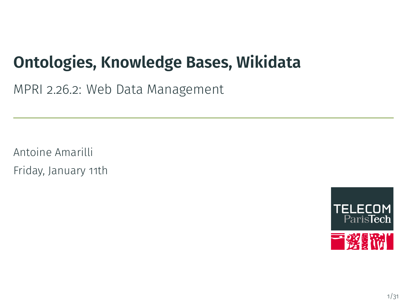## **Ontologies, Knowledge Bases, Wikidata**

MPRI 2.26.2: Web Data Management

Antoine Amarilli Friday, January 11th

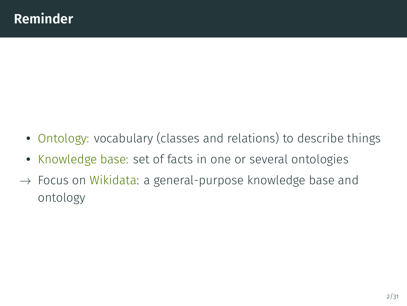- Ontology: vocabulary (classes and relations) to describe things
- Knowledge base: set of facts in one or several ontologies
- *→* Focus on Wikidata: a general-purpose knowledge base and ontology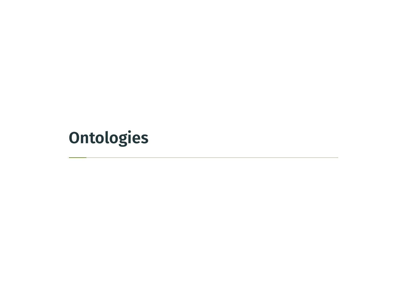**Ontologies**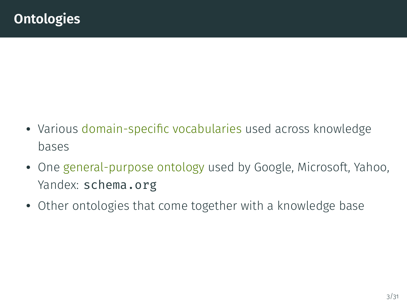- Various domain-specific vocabularies used across knowledge bases
- One general-purpose ontology used by Google, Microsoft, Yahoo, Yandex: schema.org
- Other ontologies that come together with a knowledge base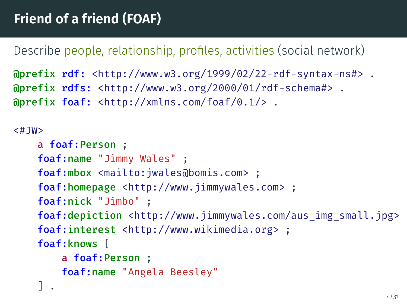Describe people, relationship, profiles, activities (social network)

```
@prefix rdf: <http://www.w3.org/1999/02/22-rdf-syntax-ns#> .
@prefix rdfs: <http://www.w3.org/2000/01/rdf-schema#> .
@prefix foaf: <http://xmlns.com/foaf/0.1/> .
```
#### $<$ #JW $>$

```
a foaf:Person ;
foaf:name "Jimmy Wales" ;
foaf:mbox <mailto:jwales@bomis.com> ;
foaf:homepage <http://www.jimmywales.com> ;
foaf:nick "Jimbo" ;
foaf:depiction <http://www.jimmywales.com/aus_img_small.jpg>
foaf:interest <http://www.wikimedia.org> ;
foaf:knows [
    a foaf:Person ;
    foaf:name "Angela Beesley"
] .
```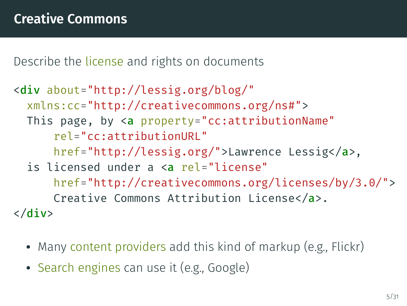Describe the license and rights on documents

```
<div about="http://lessig.org/blog/"
  xmlns:cc="http://creativecommons.org/ns#">
 This page, by <a property="cc:attributionName"
      rel="cc:attributionURL"
      href="http://lessig.org/">Lawrence Lessig</a>,
  is licensed under a <a rel="license"
      href="http://creativecommons.org/licenses/by/3.0/">
      Creative Commons Attribution License</a>.
\langlediv\rangle
```
- Many content providers add this kind of markup (e.g., Flickr)
- Search engines can use it (e.g., Google)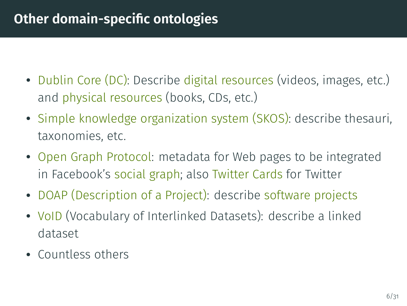## **Other domain-specific ontologies**

- Dublin Core (DC): Describe digital resources (videos, images, etc.) and physical resources (books, CDs, etc.)
- Simple knowledge organization system (SKOS): describe thesauri, taxonomies, etc.
- Open Graph Protocol: metadata for Web pages to be integrated in Facebook's social graph; also Twitter Cards for Twitter
- DOAP (Description of a Project): describe software projects
- VoID (Vocabulary of Interlinked Datasets): describe a linked dataset
- Countless others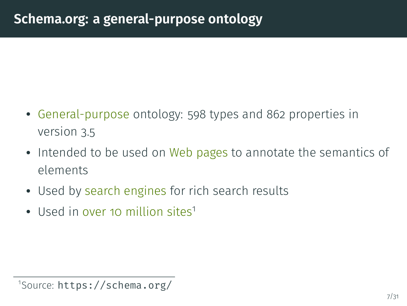## **Schema.org: a general-purpose ontology**

- General-purpose ontology: 598 types and 862 properties in version 3.5
- Intended to be used on Web pages to annotate the semantics of elements
- Used by search engines for rich search results
- Used in over 10 million sites<sup>1</sup>

<sup>1</sup> Source: https://schema.org/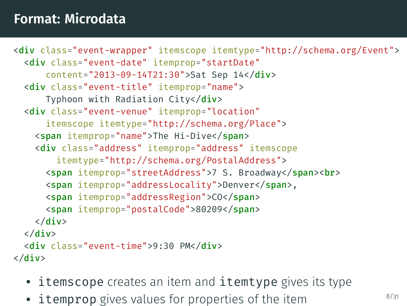### **Format: Microdata**

```
<div class="event-wrapper" itemscope itemtype="http://schema.org/Event">
  <div class="event-date" itemprop="startDate"
      content="2013-09-14T21:30">Sat Sep 14</div>
  <div class="event-title" itemprop="name">
      Typhoon with Radiation City</div>
  <div class="event-venue" itemprop="location"
      itemscope itemtype="http://schema.org/Place">
    <span itemprop="name">The Hi-Dive</span>
    <div class="address" itemprop="address" itemscope
        itemtype="http://schema.org/PostalAddress">
      <span itemprop="streetAddress">7 S. Broadway</span><br>
      <span itemprop="addressLocality">Denver</span>,
      <span itemprop="addressRegion">CO</span>
      <span itemprop="postalCode">80209</span>
    \langle /div\rangle\langle /div\rangle<div class="event-time">9:30 PM</div>
\langle /div\rangle
```
- itemscope creates an item and itemtype gives its type
- itemprop gives values for properties of the item **8/31**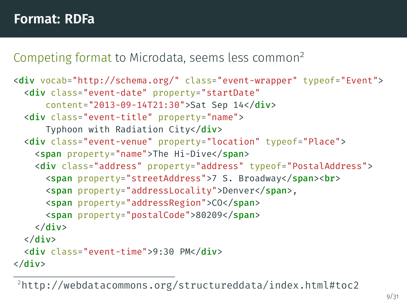### **Format: RDFa**

#### Competing format to Microdata, seems less common<sup>2</sup>

```
<div vocab="http://schema.org/" class="event-wrapper" typeof="Event">
 <div class="event-date" property="startDate"
      content="2013-09-14T21:30">Sat Sep 14</div>
 <div class="event-title" property="name">
      Typhoon with Radiation City</div>
 <div class="event-venue" property="location" typeof="Place">
    <span property="name">The Hi-Dive</span>
    <div class="address" property="address" typeof="PostalAddress">
      <span property="streetAddress">7 S. Broadway</span><br>
      <span property="addressLocality">Denver</span>,
      <span property="addressRegion">CO</span>
      <span property="postalCode">80209</span>
    \langle/div\rangle\langle/div\rangle<div class="event-time">9:30 PM</div>
\langlediv\rangle
```
<sup>2</sup>http://webdatacommons.org/structureddata/index.html#toc2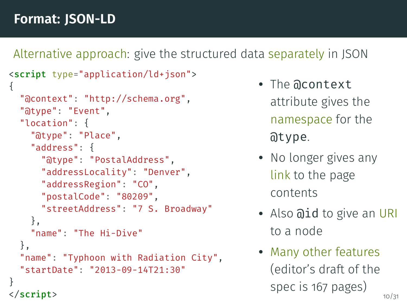### **Format: JSON-LD**

Alternative approach: give the structured data separately in JSON

```
<script type="application/ld+json">
{
  "@context": "http://schema.org",
  "@type": "Event",
  "location": {
    "@type": "Place",
    "address": {
      "@type": "PostalAddress",
      "addressLocality": "Denver",
      "addressRegion": "CO",
      "postalCode": "80209",
      "streetAddress": "7 S. Broadway"
    },
    "name": "The Hi-Dive"
  },
  "name": "Typhoon with Radiation City",
  "startDate": "2013-09-14T21:30"
}
</script>
```
- The @context attribute gives the namespace for the @type.
- No longer gives any link to the page contents
- Also aid to give an URI to a node
- Many other features (editor's draft of the spec is 167 pages)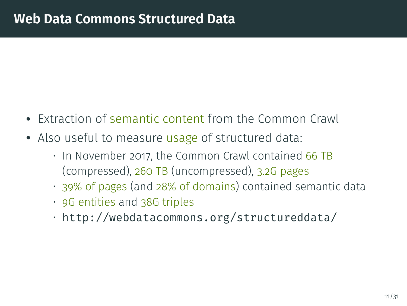## **Web Data Commons Structured Data**

- Extraction of semantic content from the Common Crawl
- Also useful to measure usage of structured data:
	- In November 2017, the Common Crawl contained 66 TB (compressed), 260 TB (uncompressed), 3.2G pages
	- 39% of pages (and 28% of domains) contained semantic data
	- 9G entities and 38G triples
	- http://webdatacommons.org/structureddata/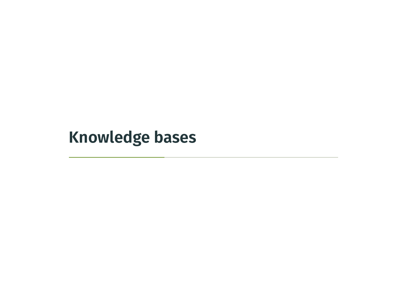**Knowledge bases**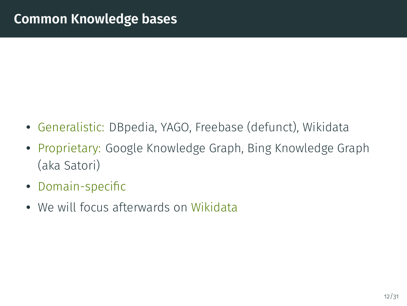- Generalistic: DBpedia, YAGO, Freebase (defunct), Wikidata
- Proprietary: Google Knowledge Graph, Bing Knowledge Graph (aka Satori)
- Domain-specific
- We will focus afterwards on Wikidata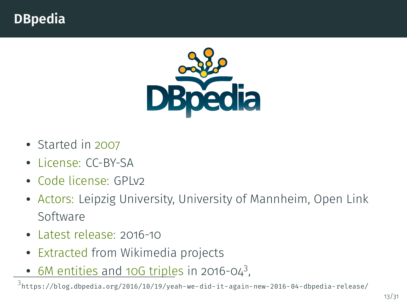## **DBpedia**



- Started in 2007
- License: CC-BY-SA
- Code license: GPLv2
- Actors: Leipzig University, University of Mannheim, Open Link Software
- Latest release: 2016-10
- Extracted from Wikimedia projects
- $\bullet$  6M entities and 10G triples in 2016-04<sup>3</sup>,

3 https://blog.dbpedia.org/2016/10/19/yeah-we-did-it-again-new-2016-04-dbpedia-release/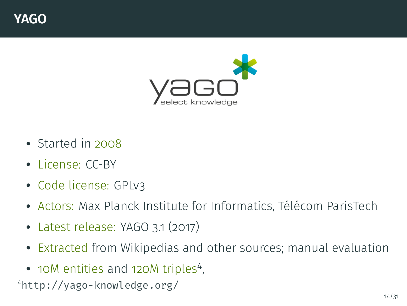### **YAGO**



- Started in 2008
- License: CC-BY
- Code license: GPLv3
- Actors: Max Planck Institute for Informatics, Télécom ParisTech
- Latest release: YAGO 3.1 (2017)
- Extracted from Wikipedias and other sources; manual evaluation
- 10M entities and 120M triples<sup>4</sup>,

<sup>4</sup>http://yago-knowledge.org/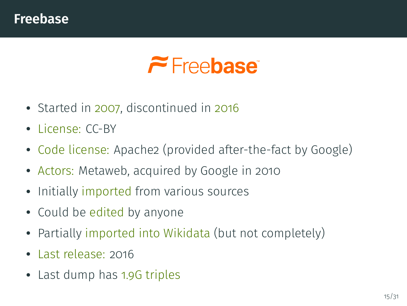### **Freebase**

# $\tilde{\phantom{a}}$  Freebase<sup>®</sup>

- Started in 2007, discontinued in 2016
- License: CC-BY
- Code license: Apache2 (provided after-the-fact by Google)
- Actors: Metaweb, acquired by Google in 2010
- Initially imported from various sources
- Could be edited by anyone
- Partially imported into Wikidata (but not completely)
- Last release: 2016
- Last dump has 1.9G triples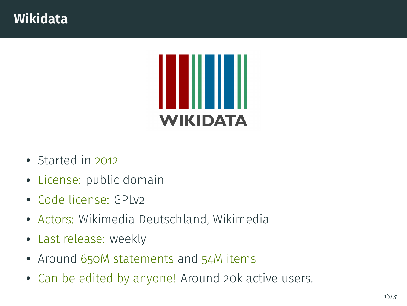

- Started in 2012
- License: public domain
- Code license: GPLv2
- Actors: Wikimedia Deutschland, Wikimedia
- Last release: weekly
- Around 650M statements and 54M items
- Can be edited by anyone! Around 20k active users.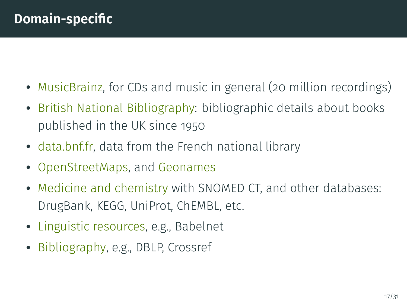- MusicBrainz, for CDs and music in general (20 million recordings)
- British National Bibliography: bibliographic details about books published in the UK since 1950
- data.bnf.fr, data from the French national library
- OpenStreetMaps, and Geonames
- Medicine and chemistry with SNOMED CT, and other databases: DrugBank, KEGG, UniProt, ChEMBL, etc.
- Linguistic resources, e.g., Babelnet
- Bibliography, e.g., DBLP, Crossref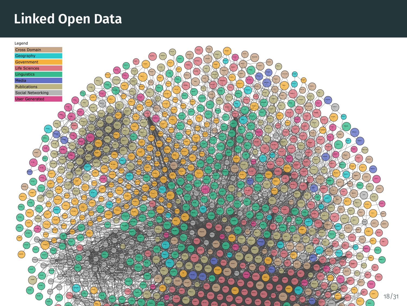## **Linked Open Data**

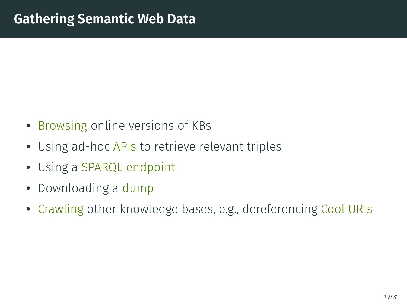- Browsing online versions of KBs
- Using ad-hoc APIs to retrieve relevant triples
- Using a SPARQL endpoint
- Downloading a dump
- Crawling other knowledge bases, e.g., dereferencing Cool URIs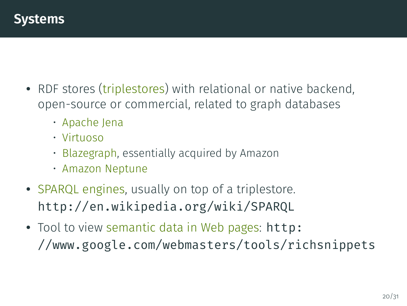### **Systems**

- RDF stores (triplestores) with relational or native backend, open-source or commercial, related to graph databases
	- Apache Jena
	- Virtuoso
	- Blazegraph, essentially acquired by Amazon
	- Amazon Neptune
- SPARQL engines, usually on top of a triplestore. http://en.wikipedia.org/wiki/SPARQL
- Tool to view semantic data in Web pages: http: //www.google.com/webmasters/tools/richsnippets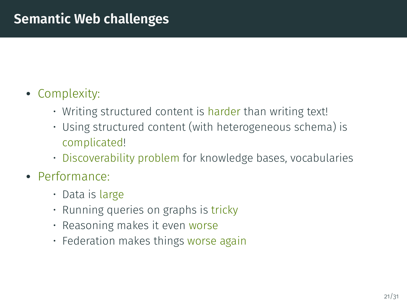## • Complexity:

- Writing structured content is harder than writing text!
- Using structured content (with heterogeneous schema) is complicated!
- Discoverability problem for knowledge bases, vocabularies
- Performance:
	- Data is large
	- Running queries on graphs is tricky
	- Reasoning makes it even worse
	- Federation makes things worse again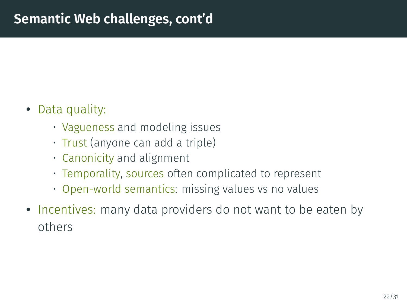- Data quality:
	- Vagueness and modeling issues
	- Trust (anyone can add a triple)
	- Canonicity and alignment
	- Temporality, sources often complicated to represent
	- Open-world semantics: missing values vs no values
- Incentives: many data providers do not want to be eaten by others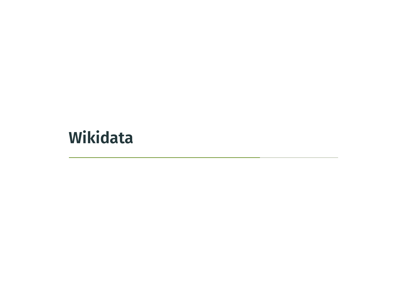**Wikidata**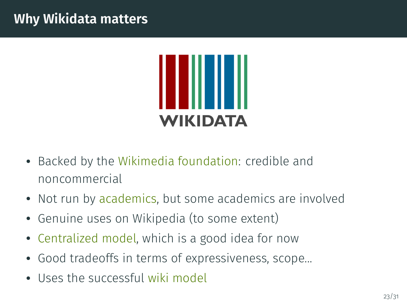### **Why Wikidata matters**



- Backed by the Wikimedia foundation: credible and noncommercial
- Not run by academics, but some academics are involved
- Genuine uses on Wikipedia (to some extent)
- Centralized model, which is a good idea for now
- Good tradeoffs in terms of expressiveness, scope...
- Uses the successful wiki model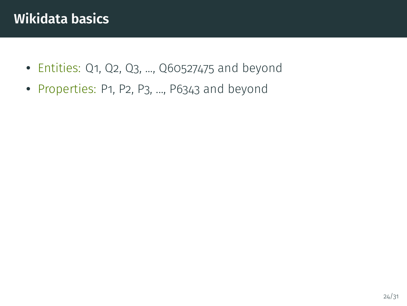- Entities: Q1, Q2, Q3, ..., Q60527475 and beyond
- Properties: P1, P2, P3, ..., P6343 and beyond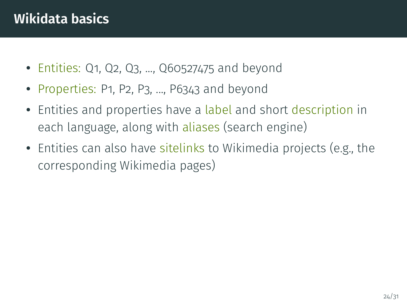- Entities: Q1, Q2, Q3, ..., Q60527475 and beyond
- Properties: P1, P2, P3, ..., P6343 and beyond
- Entities and properties have a label and short description in each language, along with aliases (search engine)
- Entities can also have sitelinks to Wikimedia projects (e.g., the corresponding Wikimedia pages)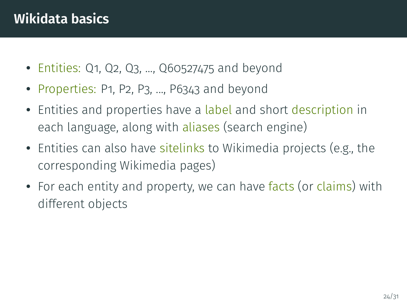- Entities: Q1, Q2, Q3, ..., Q60527475 and beyond
- Properties: P1, P2, P3, ..., P6343 and beyond
- Entities and properties have a label and short description in each language, along with aliases (search engine)
- Entities can also have sitelinks to Wikimedia projects (e.g., the corresponding Wikimedia pages)
- For each entity and property, we can have facts (or claims) with different objects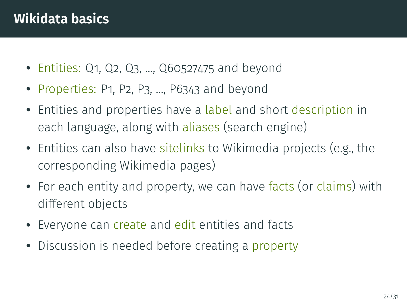- Entities: Q1, Q2, Q3, ..., Q60527475 and beyond
- Properties: P1, P2, P3, ..., P6343 and beyond
- Entities and properties have a label and short description in each language, along with aliases (search engine)
- Entities can also have sitelinks to Wikimedia projects (e.g., the corresponding Wikimedia pages)
- For each entity and property, we can have facts (or claims) with different objects
- Everyone can create and edit entities and facts
- Discussion is needed before creating a property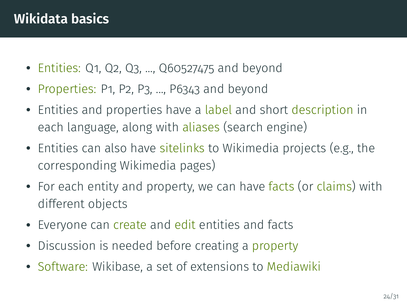- Entities: Q1, Q2, Q3, ..., Q60527475 and beyond
- Properties: P1, P2, P3, ..., P6343 and beyond
- Entities and properties have a label and short description in each language, along with aliases (search engine)
- Entities can also have sitelinks to Wikimedia projects (e.g., the corresponding Wikimedia pages)
- For each entity and property, we can have facts (or claims) with different objects
- Everyone can create and edit entities and facts
- Discussion is needed before creating a property
- Software: Wikibase, a set of extensions to Mediawiki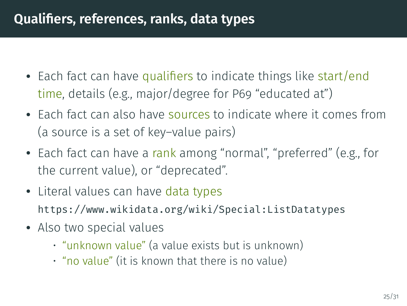## **Qualifiers, references, ranks, data types**

- Each fact can have qualifiers to indicate things like start/end time, details (e.g., major/degree for P69 "educated at")
- Each fact can also have sources to indicate where it comes from (a source is a set of key–value pairs)
- Each fact can have a rank among "normal", "preferred" (e.g., for the current value), or "deprecated".
- Literal values can have data types https://www.wikidata.org/wiki/Special:ListDatatypes
- Also two special values
	- "unknown value" (a value exists but is unknown)
	- "no value" (it is known that there is no value)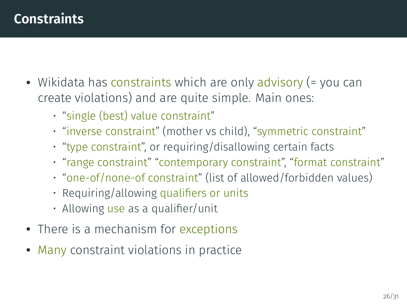## **Constraints**

- Wikidata has constraints which are only advisory (= you can create violations) and are quite simple. Main ones:
	- "single (best) value constraint"
	- "inverse constraint" (mother vs child), "symmetric constraint"
	- "type constraint", or requiring/disallowing certain facts
	- "range constraint" "contemporary constraint", "format constraint"
	- "one-of/none-of constraint" (list of allowed/forbidden values)
	- Requiring/allowing qualifiers or units
	- Allowing use as a qualifier/unit
- There is a mechanism for exceptions
- Many constraint violations in practice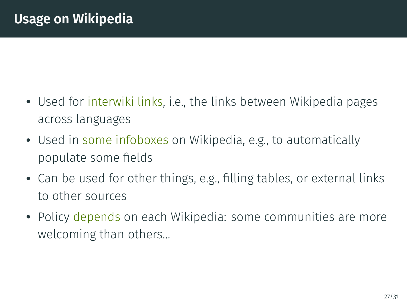- Used for interwiki links, i.e., the links between Wikipedia pages across languages
- Used in some infoboxes on Wikipedia, e.g., to automatically populate some fields
- Can be used for other things, e.g., filling tables, or external links to other sources
- Policy depends on each Wikipedia: some communities are more welcoming than others...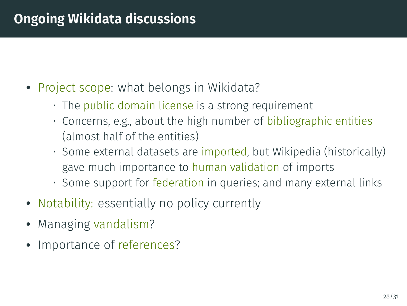## **Ongoing Wikidata discussions**

- Project scope: what belongs in Wikidata?
	- The public domain license is a strong requirement
	- Concerns, e.g., about the high number of bibliographic entities (almost half of the entities)
	- Some external datasets are imported, but Wikipedia (historically) gave much importance to human validation of imports
	- Some support for federation in queries; and many external links
- Notability: essentially no policy currently
- Managing vandalism?
- Importance of references?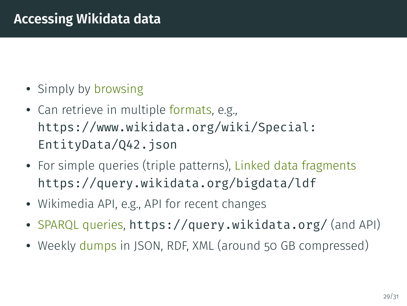## **Accessing Wikidata data**

- Simply by browsing
- Can retrieve in multiple formats, e.g., https://www.wikidata.org/wiki/Special: EntityData/Q42.json
- For simple queries (triple patterns), Linked data fragments https://query.wikidata.org/bigdata/ldf
- Wikimedia API, e.g., API for recent changes
- SPARQL queries, https://query.wikidata.org/ (and API)
- Weekly dumps in JSON, RDF, XML (around 50 GB compressed)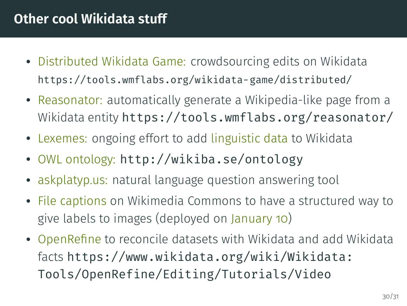## **Other cool Wikidata stuff**

- Distributed Wikidata Game: crowdsourcing edits on Wikidata https://tools.wmflabs.org/wikidata-game/distributed/
- Reasonator: automatically generate a Wikipedia-like page from a Wikidata entity https://tools.wmflabs.org/reasonator/
- Lexemes: ongoing effort to add linguistic data to Wikidata
- OWL ontology: http://wikiba.se/ontology
- askplatyp.us: natural language question answering tool
- File captions on Wikimedia Commons to have a structured way to give labels to images (deployed on January 10)
- OpenRefine to reconcile datasets with Wikidata and add Wikidata facts https://www.wikidata.org/wiki/Wikidata: Tools/OpenRefine/Editing/Tutorials/Video